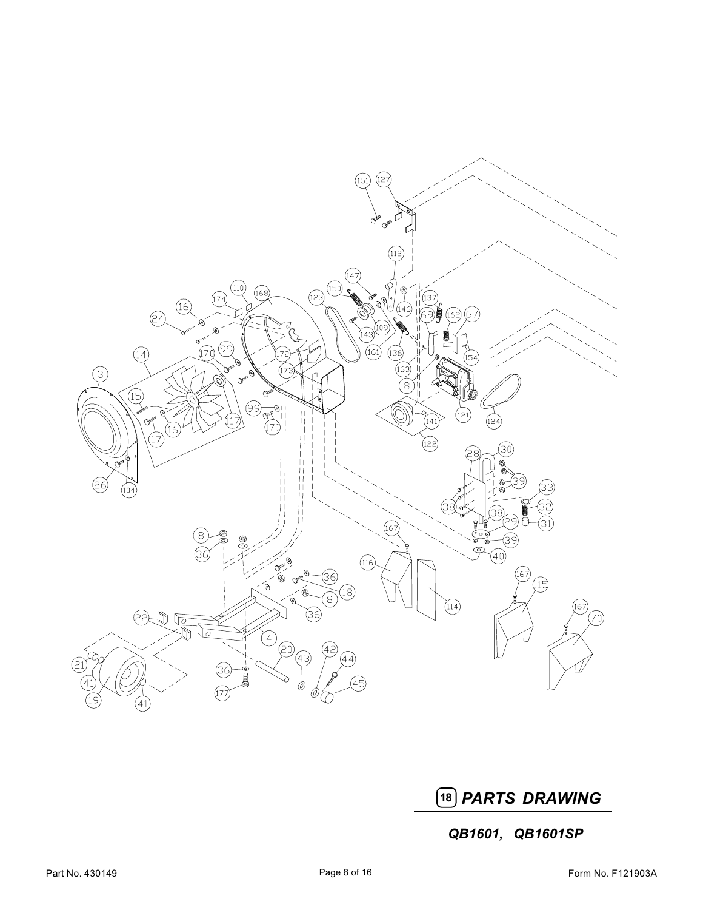

18 PARTS DRAWING

QB1601, QB1601SP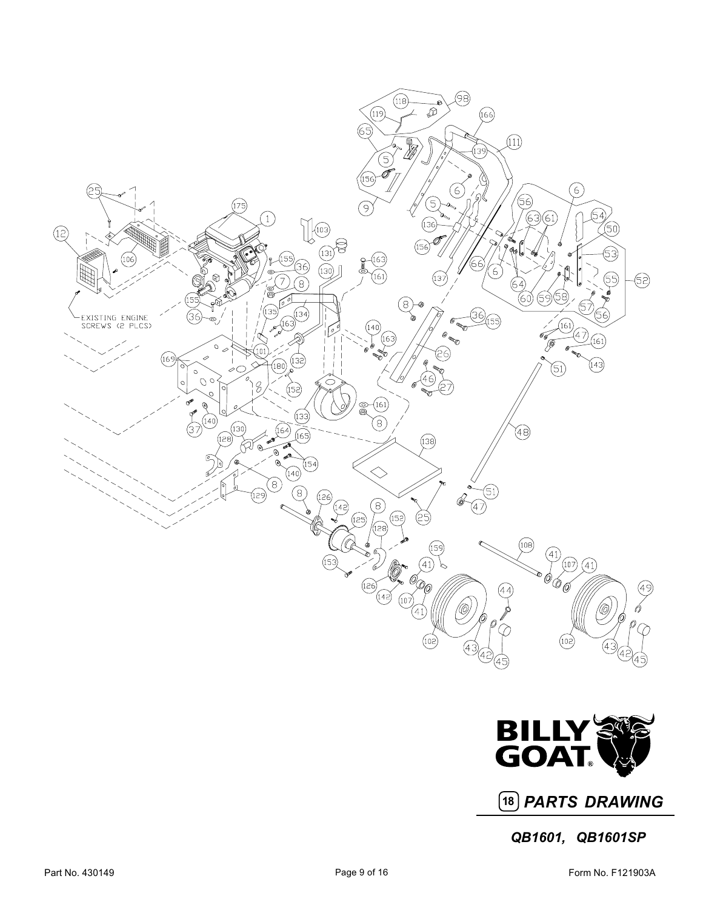



18 PARTS DRAWING

QB1601, QB1601SP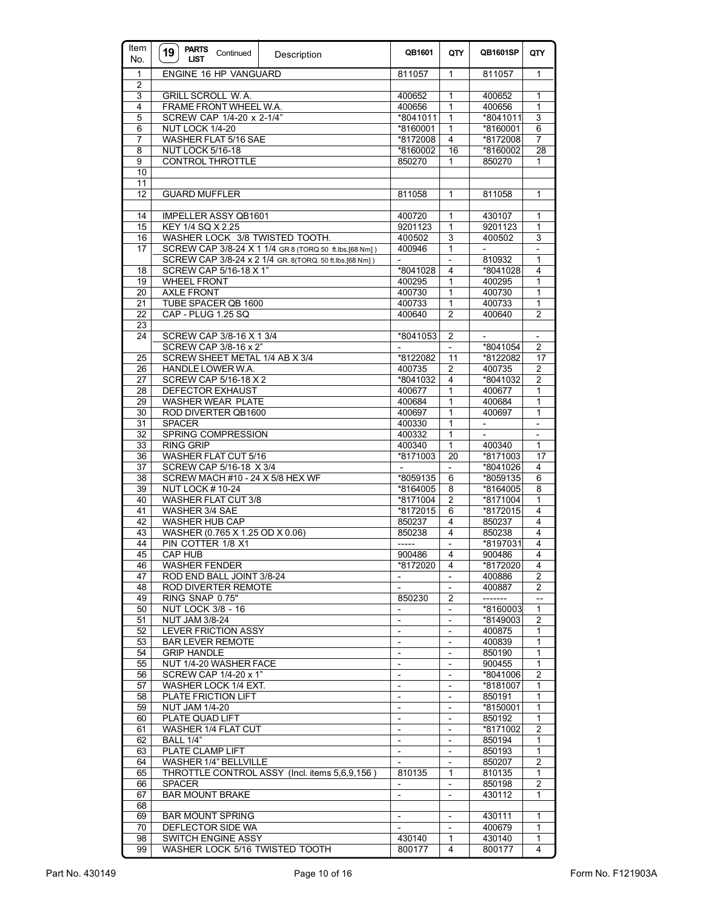| Item<br>No.     | PARTS Continued<br>19<br><b>LIST</b>                        | Description                                             | QB1601                                     | QTY                              | QB1601SP                 | QTY                      |
|-----------------|-------------------------------------------------------------|---------------------------------------------------------|--------------------------------------------|----------------------------------|--------------------------|--------------------------|
| $\mathbf{1}$    | ENGINE 16 HP VANGUARD                                       |                                                         | 811057                                     | 1                                | 811057                   | 1                        |
| $\overline{2}$  |                                                             |                                                         |                                            |                                  |                          |                          |
| 3               | <b>GRILL SCROLL W.A.</b>                                    |                                                         | 400652                                     | 1                                | 400652                   | 1                        |
| 4               | FRAME FRONT WHEEL W.A.                                      |                                                         | 400656                                     | 1                                | 400656                   | 1                        |
| 5               | SCREW CAP 1/4-20 x 2-1/4"                                   |                                                         | *8041011                                   | 1                                | *8041011                 | 3                        |
| 6               | NUT LOCK 1/4-20                                             |                                                         | *8160001                                   | 1<br>4                           | *8160001                 | 6                        |
| 7<br>8          | WASHER FLAT 5/16 SAE                                        |                                                         | *8172008                                   |                                  | *8172008                 | 7                        |
| 9               | <b>NUT LOCK 5/16-18</b>                                     |                                                         | *8160002<br>850270                         | 16<br>1                          | *8160002<br>850270       | 28<br>1                  |
| 10              | <b>CONTROL THROTTLE</b>                                     |                                                         |                                            |                                  |                          |                          |
| $\overline{11}$ |                                                             |                                                         |                                            |                                  |                          |                          |
| $\overline{12}$ | <b>GUARD MUFFLER</b>                                        |                                                         | 811058                                     | 1                                | 811058                   | 1                        |
|                 |                                                             |                                                         |                                            |                                  |                          |                          |
| 14              | <b>IMPELLER ASSY QB1601</b>                                 |                                                         | 400720                                     | 1                                | 430107                   | 1                        |
| 15              | KEY 1/4 SQ X 2.25                                           |                                                         | 9201123                                    | 1                                | 9201123                  | 1                        |
| 16              | WASHER LOCK 3/8 TWISTED TOOTH.                              |                                                         | 400502                                     | 3                                | 400502                   | 3                        |
| 17              |                                                             | SCREW CAP 3/8-24 X 1 1/4 GR 8 (TORQ 50 ft.lbs.[68 Nm])  | 400946                                     | $\mathbf{1}$                     | $\overline{\phantom{a}}$ | $\overline{\phantom{a}}$ |
|                 |                                                             | SCREW CAP 3/8-24 x 2 1/4 GR. 8(TORQ. 50 ft.lbs.[68 Nm]) | $\overline{a}$                             | $\overline{\phantom{a}}$         | 810932                   | 1                        |
| 18              | SCREW CAP 5/16-18 X 1"                                      |                                                         | *8041028                                   | 4                                | *8041028                 | 4                        |
| 19              | <b>WHEEL FRONT</b>                                          |                                                         | 400295                                     | 1                                | 400295                   | 1                        |
| 20              | <b>AXLE FRONT</b>                                           |                                                         | 400730                                     | 1                                | 400730                   | 1                        |
| 21              | TUBE SPACER QB 1600                                         |                                                         | 400733                                     | 1                                | 400733                   | 1                        |
| 22              | CAP - PLUG 1.25 SQ                                          |                                                         | 400640                                     | $\overline{2}$                   | 400640                   | 2                        |
| 23              |                                                             |                                                         |                                            |                                  |                          |                          |
| 24              | SCREW CAP 3/8-16 X 1 3/4                                    |                                                         | *8041053                                   | 2                                |                          |                          |
|                 | SCREW CAP 3/8-16 x 2"                                       |                                                         |                                            |                                  | *8041054                 | 2                        |
| $\overline{25}$ | SCREW SHEET METAL 1/4 AB X 3/4                              |                                                         | *8122082                                   | 11                               | *8122082                 | 17                       |
| 26              | HANDLE LOWER W.A.                                           |                                                         | 400735                                     | $\overline{2}$                   | 400735                   | 2                        |
| 27              | SCREW CAP 5/16-18 X 2                                       |                                                         | *8041032                                   | 4                                | *8041032                 | $\overline{2}$           |
| 28              | DEFECTOR EXHAUST                                            |                                                         | 400677                                     | 1                                | 400677                   | 1                        |
| 29              | WASHER WEAR PLATE                                           |                                                         | 400684                                     | 1                                | 400684                   | 1                        |
| 30              | ROD DIVERTER QB1600                                         |                                                         | 400697                                     | 1                                | 400697                   | 1                        |
| 31              | <b>SPACER</b>                                               |                                                         | 400330                                     | 1                                |                          |                          |
| 32              | SPRING COMPRESSION                                          |                                                         | 400332                                     | 1                                |                          |                          |
| 33<br>36        | <b>RING GRIP</b><br><b>WASHER FLAT CUT 5/16</b>             |                                                         | 400340<br>*8171003                         | 1<br>20                          | 400340<br>*8171003       | 1                        |
|                 |                                                             |                                                         |                                            |                                  |                          | 17                       |
| 37<br>38        | SCREW CAP 5/16-18 X 3/4<br>SCREW MACH #10 - 24 X 5/8 HEX WF |                                                         | *8059135                                   | $\overline{\phantom{a}}$<br>6    | *8041026<br>*8059135     | 4<br>6                   |
| 39              | <b>NUT LOCK #10-24</b>                                      |                                                         | *8164005                                   | 8                                | *8164005                 | 8                        |
| 40              | <b>WASHER FLAT CUT 3/8</b>                                  |                                                         | *8171004                                   | $\overline{2}$                   | *8171004                 | 1                        |
| 41              | WASHER 3/4 SAE                                              |                                                         | *8172015                                   | 6                                | *8172015                 | 4                        |
| 42              | <b>WASHER HUB CAP</b>                                       |                                                         | 850237                                     | 4                                | 850237                   | 4                        |
| 43              | WASHER (0.765 X 1.25 OD X 0.06)                             |                                                         | 850238                                     | $\overline{4}$                   | 850238                   | 4                        |
| 44              | PIN COTTER 1/8 X1                                           |                                                         | -----                                      | $\blacksquare$                   | *8197031                 | 4                        |
| 45              | <b>CAP HUB</b>                                              |                                                         | 900486                                     | 4                                | 900486                   | $\overline{4}$           |
| 46              | <b>WASHER FENDER</b>                                        |                                                         | *8172020                                   | 4                                | *8172020                 | 4                        |
| 47              | ROD END BALL JOINT 3/8-24                                   |                                                         | $\overline{\phantom{a}}$                   | $\overline{\phantom{a}}$         | 400886                   | 2                        |
| 48              | ROD DIVERTER REMOTE                                         |                                                         | $\blacksquare$                             | $\overline{\phantom{a}}$         | 400887                   | $\overline{2}$           |
| 49              | RING SNAP 0.75"                                             |                                                         | 850230                                     | 2                                | -------                  | $-$                      |
| 50              | <b>NUT LOCK 3/8 - 16</b>                                    |                                                         |                                            | $\overline{\phantom{a}}$         | *8160003                 | 1                        |
| 51              | <b>NUT JAM 3/8-24</b>                                       |                                                         | $\overline{\phantom{0}}$                   | $\overline{\phantom{a}}$         | *8149003                 | 2                        |
| 52              | <b>LEVER FRICTION ASSY</b>                                  |                                                         | $\overline{\phantom{0}}$                   |                                  | 400875                   | 1                        |
| 53              | <b>BAR LEVER REMOTE</b>                                     |                                                         | $\overline{\phantom{a}}$                   | $\overline{\phantom{a}}$         | 400839                   | 1                        |
| 54              | <b>GRIP HANDLE</b>                                          |                                                         | $\overline{\phantom{0}}$                   | $\blacksquare$                   | 850190                   | 1                        |
| 55              | NUT 1/4-20 WASHER FACE                                      |                                                         | $\overline{a}$                             | $\blacksquare$                   | 900455                   | 1                        |
| 56              | SCREW CAP 1/4-20 x 1"                                       |                                                         | $\overline{\phantom{0}}$                   | $\overline{\phantom{a}}$         | *8041006                 | 2                        |
| 57              | WASHER LOCK 1/4 EXT.                                        |                                                         |                                            |                                  | *8181007                 | 1                        |
| 58              | PLATE FRICTION LIFT                                         |                                                         | $\overline{\phantom{a}}$                   | $\overline{\phantom{a}}$         | 850191                   | 1                        |
| 59              | <b>NUT JAM 1/4-20</b>                                       |                                                         | $\overline{\phantom{a}}$                   | $\overline{\phantom{a}}$         | *8150001                 | 1                        |
| 60              | PLATE QUAD LIFT                                             |                                                         | $\overline{\phantom{a}}$                   | $\overline{\phantom{a}}$         | 850192                   | 1                        |
| 61              | WASHER 1/4 FLAT CUT                                         |                                                         | $\overline{\phantom{a}}$                   | $\blacksquare$                   | *8171002                 | 2                        |
| 62              | <b>BALL 1/4"</b>                                            |                                                         |                                            | $\overline{\phantom{a}}$         | 850194                   | 1                        |
| 63              | PLATE CLAMP LIFT                                            |                                                         | $\overline{\phantom{0}}$                   | $\overline{\phantom{a}}$         | 850193                   | 1                        |
| 64              | WASHER 1/4" BELLVILLE                                       |                                                         |                                            | $\overline{\phantom{a}}$         | 850207                   | 2                        |
| 65              |                                                             | THROTTLE CONTROL ASSY (Incl. items 5,6,9,156)           | 810135                                     | $\mathbf{1}$                     | 810135                   | 1                        |
| 66<br>67        | <b>SPACER</b><br><b>BAR MOUNT BRAKE</b>                     |                                                         | $\overline{\phantom{0}}$<br>$\overline{a}$ | $\blacksquare$<br>$\overline{a}$ | 850198<br>430112         | 2<br>1                   |
| 68              |                                                             |                                                         |                                            |                                  |                          |                          |
| 69              | <b>BAR MOUNT SPRING</b>                                     |                                                         |                                            |                                  | 430111                   | 1                        |
| 70              | DEFLECTOR SIDE WA                                           |                                                         |                                            | $\overline{\phantom{a}}$         | 400679                   | 1                        |
| 98              | SWITCH ENGINE ASSY                                          |                                                         | 430140                                     | 1                                | 430140                   | 1                        |
| 99              | WASHER LOCK 5/16 TWISTED TOOTH                              |                                                         | 800177                                     | 4                                | 800177                   | 4                        |
|                 |                                                             |                                                         |                                            |                                  |                          |                          |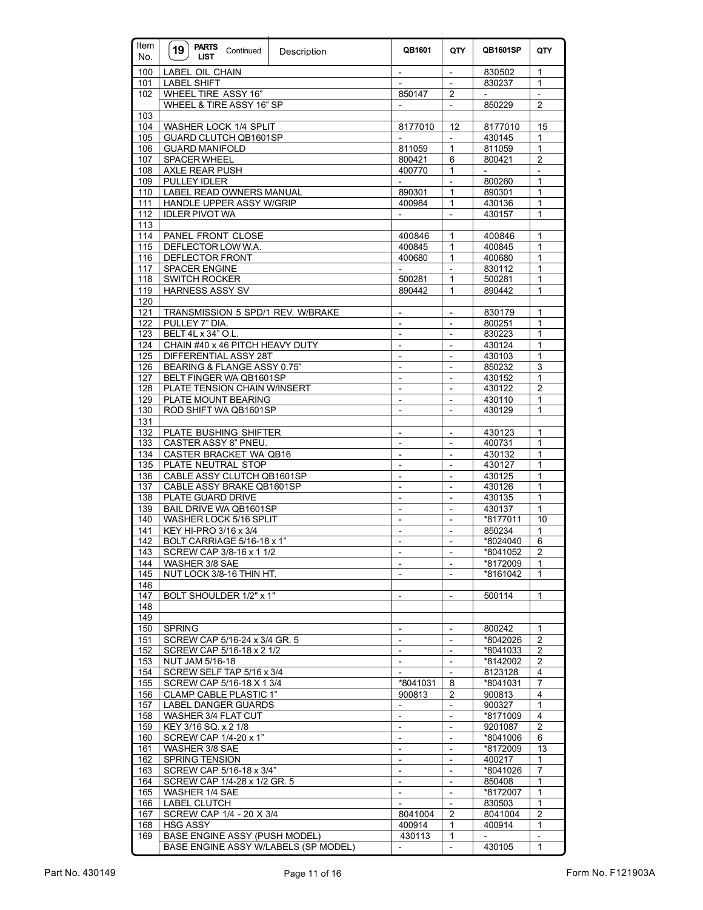| Item<br>No. | <b>PARTS</b><br>19<br>Continued<br><b>LIST</b>   | Description | QB1601                                     | QTY                                                  | QB1601SP                           | QTY                       |
|-------------|--------------------------------------------------|-------------|--------------------------------------------|------------------------------------------------------|------------------------------------|---------------------------|
| 100         | <b>LABEL OIL CHAIN</b>                           |             | $\overline{\phantom{a}}$                   | $\blacksquare$                                       | 830502                             | 1                         |
| 101         | <b>LABEL SHIFT</b>                               |             | $\blacksquare$                             | $\overline{\phantom{a}}$                             | 830237                             | $\mathbf{1}$              |
| 102         | WHEEL TIRE ASSY 16"                              |             | 850147                                     | 2                                                    |                                    |                           |
|             | WHEEL & TIRE ASSY 16" SP                         |             |                                            |                                                      | 850229                             | $\overline{2}$            |
| 103         |                                                  |             |                                            |                                                      |                                    |                           |
| 104         | WASHER LOCK 1/4 SPLIT                            |             | 8177010                                    | 12                                                   | 8177010                            | 15                        |
| 105         | GUARD CLUTCH QB1601SP                            |             | $\overline{\phantom{a}}$                   | $\blacksquare$                                       | 430145                             | 1                         |
| 106         | <b>GUARD MANIFOLD</b>                            |             | 811059                                     | $\mathbf{1}$                                         | 811059                             | 1                         |
| 107         | <b>SPACER WHEEL</b>                              |             | 800421<br>400770                           | 6                                                    | 800421                             | $\overline{2}$            |
| 108<br>109  | <b>AXLE REAR PUSH</b><br>PULLEY IDLER            |             |                                            | 1<br>$\overline{a}$                                  | $\overline{\phantom{a}}$<br>800260 | 1                         |
| 110         | LABEL READ OWNERS MANUAL                         |             | 890301                                     | $\mathbf{1}$                                         | 890301                             | $\mathbf{1}$              |
| 111         | <b>HANDLE UPPER ASSY W/GRIP</b>                  |             | 400984                                     | 1                                                    | 430136                             | 1                         |
| 112         | <b>IDLER PIVOT WA</b>                            |             | $\overline{a}$                             | $\mathbf{r}$                                         | 430157                             | $\mathbf{1}$              |
| 113         |                                                  |             |                                            |                                                      |                                    |                           |
| 114         | PANEL FRONT CLOSE                                |             | 400846                                     | $\mathbf{1}$                                         | 400846                             | 1                         |
| 115         | DEFLECTOR LOW W.A.                               |             | 400845                                     | 1                                                    | 400845                             | 1                         |
| 116         | DEFLECTOR FRONT                                  |             | 400680                                     | $\mathbf{1}$                                         | 400680                             | 1                         |
| 117         | <b>SPACER ENGINE</b>                             |             | $\blacksquare$                             | $\overline{\phantom{a}}$                             | 830112                             | $\mathbf{1}$              |
| 118         | <b>SWITCH ROCKER</b>                             |             | 500281                                     | $\mathbf{1}$                                         | 500281                             | $\mathbf{1}$              |
| 119         | <b>HARNESS ASSY SV</b>                           |             | 890442                                     | $\mathbf{1}$                                         | 890442                             | 1                         |
| 120         |                                                  |             |                                            |                                                      |                                    |                           |
| 121         | TRANSMISSION 5 SPD/1 REV. W/BRAKE                |             | $\overline{\phantom{a}}$                   | $\frac{1}{2}$                                        | 830179                             | 1                         |
| 122         | PULLEY 7" DIA.                                   |             | $\overline{\phantom{a}}$                   | ÷,                                                   | 800251                             | $\mathbf{1}$              |
| 123         | BELT 4L x 34" O.L.                               |             | $\overline{\phantom{a}}$                   | $\overline{\phantom{a}}$                             | 830223                             | 1                         |
| 124         | CHAIN #40 x 46 PITCH HEAVY DUTY                  |             | $\blacksquare$                             | $\blacksquare$                                       | 430124                             | $\mathbf{1}$              |
| 125         | DIFFERENTIAL ASSY 28T                            |             | $\frac{1}{2}$                              | $\frac{1}{2}$                                        | 430103                             | 1                         |
| 126         | BEARING & FLANGE ASSY 0.75"                      |             | $\overline{a}$                             |                                                      | 850232                             | $\overline{\overline{3}}$ |
| 127         | BELT FINGER WA QB1601SP                          |             | $\overline{\phantom{a}}$                   | $\frac{1}{2}$                                        | 430152                             | 1<br>$\overline{2}$       |
| 128<br>129  | PLATE TENSION CHAIN W/INSERT                     |             | $\overline{\phantom{a}}$<br>$\blacksquare$ | $\overline{\phantom{a}}$<br>$\overline{\phantom{a}}$ | 430122                             | 1                         |
| 130         | PLATE MOUNT BEARING<br>ROD SHIFT WA QB1601SP     |             | $\overline{\phantom{a}}$                   | $\overline{\phantom{a}}$                             | 430110<br>430129                   | $\mathbf{1}$              |
| 131         |                                                  |             |                                            |                                                      |                                    |                           |
| 132         | PLATE BUSHING SHIFTER                            |             | $\frac{1}{2}$                              | $\blacksquare$                                       | 430123                             | 1                         |
| $133$       | CASTER ASSY 8" PNEU.                             |             | $\overline{\phantom{a}}$                   | ÷,                                                   | 400731                             | 1                         |
| 134         | CASTER BRACKET WA QB16                           |             | $\overline{\phantom{a}}$                   | $\overline{\phantom{a}}$                             | 430132                             | $\mathbf{1}$              |
| 135         | PLATE NEUTRAL STOP                               |             | $\overline{\phantom{a}}$                   | $\overline{\phantom{a}}$                             | 430127                             | 1                         |
| 136         | CABLE ASSY CLUTCH QB1601SP                       |             | $\blacksquare$                             | $\overline{\phantom{a}}$                             | 430125                             | $\mathbf{1}$              |
| 137         | CABLE ASSY BRAKE QB1601SP                        |             | $\overline{\phantom{a}}$                   | $\blacksquare$                                       | 430126                             | 1                         |
| 138         | PLATE GUARD DRIVE                                |             | $\overline{a}$                             |                                                      | 430135                             | $\mathbf{1}$              |
| 139         | BAIL DRIVE WA QB1601SP                           |             | $\overline{\phantom{a}}$                   | $\frac{1}{2}$                                        | 430137                             | $\mathbf{1}$              |
| 140         | WASHER LOCK 5/16 SPLIT                           |             | $\overline{\phantom{a}}$                   | $\overline{\phantom{a}}$                             | *8177011                           | 10                        |
| 141         | KEY HI-PRO 3/16 x 3/4                            |             | $\blacksquare$                             | $\blacksquare$                                       | 850234                             | 1                         |
| 142         | BOLT CARRIAGE 5/16-18 x 1"                       |             | $\overline{\phantom{a}}$                   | $\blacksquare$                                       | *8024040                           | 6                         |
| 143         | SCREW CAP 3/8-16 x 1 1/2                         |             |                                            |                                                      | *8041052                           | $\overline{2}$            |
| 144         | WASHER 3/8 SAE                                   |             |                                            |                                                      | *8172009                           | $\mathbf{1}$              |
| 145         | NUT LOCK 3/8-16 THIN HT.                         |             |                                            |                                                      | *8161042                           | 1                         |
| 146         |                                                  |             | $\blacksquare$                             |                                                      |                                    | $\mathbf{1}$              |
| 147<br>148  | BOLT SHOULDER 1/2" x 1"                          |             |                                            | $\overline{\phantom{a}}$                             | 500114                             |                           |
| 149         |                                                  |             |                                            |                                                      |                                    |                           |
| 150         | <b>SPRING</b>                                    |             |                                            |                                                      | 800242                             | $\mathbf{1}$              |
| 151         | SCREW CAP 5/16-24 x 3/4 GR. 5                    |             | $\overline{a}$                             | $\blacksquare$                                       | *8042026                           | $\overline{\mathbf{c}}$   |
| 152         | SCREW CAP 5/16-18 x 2 1/2                        |             | $\overline{\phantom{a}}$                   | $\overline{\phantom{a}}$                             | *8041033                           | $\overline{c}$            |
| 153         | NUT JAM 5/16-18                                  |             | $\blacksquare$                             | $\overline{\phantom{a}}$                             | *8142002                           | $\overline{c}$            |
| 154         | SCREW SELF TAP 5/16 x 3/4                        |             | $\overline{\phantom{a}}$                   | $\overline{\phantom{a}}$                             | 8123128                            | 4                         |
| 155         | SCREW CAP 5/16-18 X 1 3/4                        |             | *8041031                                   | 8                                                    | *8041031                           | $\boldsymbol{7}$          |
| 156         | <b>CLAMP CABLE PLASTIC 1"</b>                    |             | 900813                                     | $\overline{\mathbf{c}}$                              | 900813                             | 4                         |
| 157         | LABEL DANGER GUARDS                              |             | $\overline{\phantom{a}}$                   | $\qquad \qquad \blacksquare$                         | 900327                             | $\mathbf{1}$              |
| 158         | WASHER 3/4 FLAT CUT                              |             | $\overline{\phantom{a}}$                   | $\overline{\phantom{a}}$                             | *8171009                           | $\overline{\mathbf{4}}$   |
| 159         | KEY 3/16 SQ. x 2 1/8                             |             | $\overline{\phantom{a}}$                   | $\overline{\phantom{a}}$                             | 9201087                            | 2                         |
| 160         | SCREW CAP 1/4-20 x 1"                            |             | $\blacksquare$                             | $\overline{a}$                                       | *8041006                           | 6                         |
| 161         | WASHER 3/8 SAE                                   |             | $\overline{\phantom{a}}$                   | $\overline{\phantom{a}}$                             | *8172009                           | 13                        |
| 162         | <b>SPRING TENSION</b>                            |             |                                            |                                                      | 400217                             | 1                         |
| 163         | SCREW CAP 5/16-18 x 3/4"                         |             | $\blacksquare$                             | $\blacksquare$                                       | *8041026                           | $\overline{7}$            |
| 164         | SCREW CAP 1/4-28 x 1/2 GR. 5                     |             | $\overline{\phantom{a}}$                   | $\overline{\phantom{a}}$                             | 850408                             | 1                         |
| 165         | WASHER 1/4 SAE                                   |             | $\blacksquare$                             | ÷,                                                   | *8172007                           | $\mathbf{1}$              |
| 166         | LABEL CLUTCH                                     |             | $\overline{\phantom{a}}$                   | $\overline{\phantom{a}}$                             | 830503                             | 1                         |
| 167         | SCREW CAP 1/4 - 20 X 3/4                         |             | 8041004                                    | 2                                                    | 8041004                            | $\overline{\mathbf{c}}$   |
| 168<br>169  | <b>HSG ASSY</b><br>BASE ENGINE ASSY (PUSH MODEL) |             | 400914<br>430113                           | 1<br>1                                               | 400914                             | 1                         |
|             | BASE ENGINE ASSY W/LABELS (SP MODEL)             |             | $\overline{\phantom{a}}$                   | $\blacksquare$                                       | 430105                             | $\mathbf{1}$              |
|             |                                                  |             |                                            |                                                      |                                    |                           |